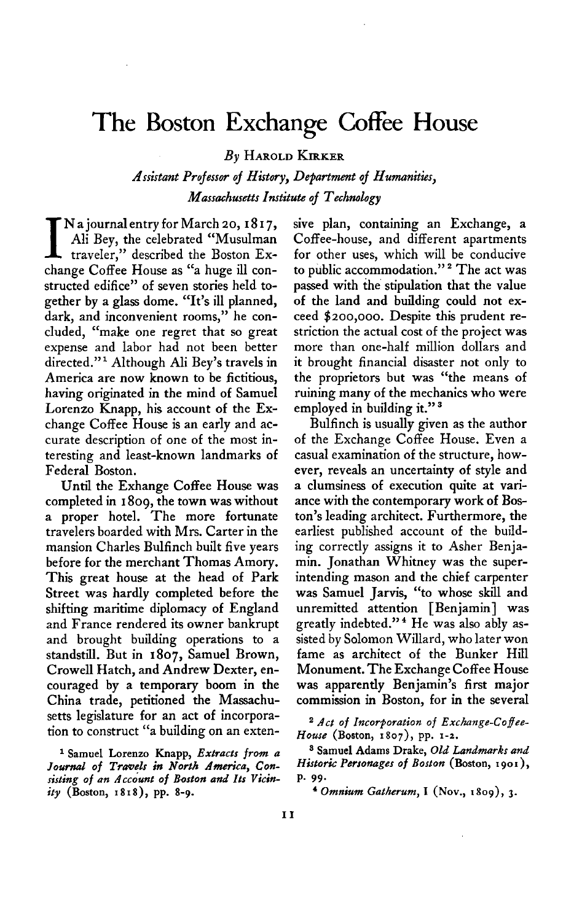## **The Boston Exchange Coffee House**

**By HAROLD KIRKER** 

**Assistant Projesser of History, Department of Humanities, Massachusetts Institute of Technelogy** 

**I N** a journal entry for March 20, 1817,<br>
traveler," described the Boston Ex-<br>
thene Ceffee Human (6 human llace **Ali Bey, the celebrated "Musulman change Coffee House as "a huge ill constructed edifice" of seven stories held together by a glass dome. "It's ill planned, dark, and inconvenient rooms," he concluded, "make one regret that so great expense and labor had not been better directed."l Although Ali Bey's travels in America are now known to be fictitious, having originated in the mind of Samuel Lorenzo Knapp, his account of the Exchange Coffee House is an early and accurate description of one of the most interesting and least-known landmarks of Federal Boston.** 

**Until the Exhange Coffee House was completed in I 809, the town was without a proper hotel. The more fortunate travelers boarded with Mrs. Carter in the mansion Charles Bulfinch built five years before for the merchant Thomas Amory. This great house at the head of Park Street was hardly completed before the shifting maritime diplomacy of England and France rendered its owner bankrupt and brought building operations to a standstill. But in 1807, Samuel Brown, Crowell Hatch, and Andrew Dexter, encouraged by a temporary boom in the China trade, petitioned the Massachusetts legislature for an act of incorporation to construct "a building on an exten-**

<sup>1</sup> Samuel Lorenzo Knapp, Extracts from a Journal of Travels in North America, Con**sisting of an Accounf of Boston and Its Vicinity (Boston, I 8 I 8)) pp. 8-9.** 

**sive plan, containing an Exchange, a Coffee-house, and different apartments for other uses, which will be conducive to public accommodation." \* The act was passed with the stipulation that the value of the land and building could not exceed \$200,000. Despite this prudent restriction the actual cost of the project was more than one-half million dollars and it brought financial disaster not only to the proprietors but was "the means of ruining many of the mechanics who were employed in building it." 3** 

**Bulfinch is usually given as the author of the Exchange Coffee House. Even a casual examination of the structure, however, reveals an uncertainty of style and a clumsiness of execution quite at variance with the contemporary work of Boston's leading architect. Furthermore, the earliest published account of the building correctly assigns it to Asher Benjamin. Jonathan Whitney was the superintending mason and the chief carpenter was Samuel Jarvis, "to whose skill and unremitted attention [Benjamin] was greatly indebted." 4 He was also ably assisted by Solomon Willard, who later won fame as architect of the Bunker Hill Monument. The Exchange Coffee House was apparently Benjamin's first major commission in Boston, for in the several** 

**a Act of Incorporation of Exchange-Cofee-House (Boston, 1807), pp. I-Z.** 

**<sup>3</sup> Samuel Adams Drake, Old Landmarks and Historic Personages of Boston (Boston, 1901),**  p. 99.

 $4$  Omnium Gatherum, I (Nov., 1809), 3.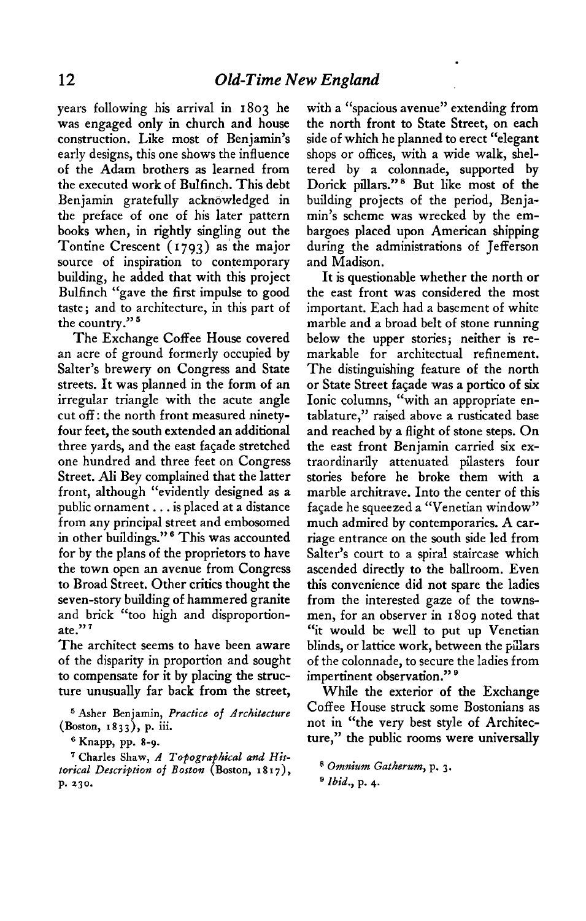**years following his arrival in 1803 he was engaged only in church and house construction. Like most of Benjamin's early designs, this one shows the influence of the Adam brothers as learned from the executed work of Bulfinch. This debt Benjamin gratefully acknowledged in the preface of one of his later pattern books when, in rightly singling out the Tontine Crescent (1793) as'the major source of inspiration to contemporary building, he added that with this project Bulfinch "gave the first impulse to good taste ; and to architecture, in this part of**  the country."<sup>5</sup>

**The Exchange Coffee House covered an acre of ground formerly occupied by Salter's brewery on Congress and State streets. It was planned in the form of an irregular triangle with the acute angle cut off: the north front measured ninetyfour feet, the south extended an additional three yards, and the east facade stretched one hundred and three feet on Congress Street. Ali Bey complained that the latter front, although "evidently designed as a public ornament. . . is placed at a distance from any principal street and embosomed**  in other buildings."<sup>6</sup> This was accounted **for by the plans of the proprietors to have the town open an avenue from Congress to Broad Street. Other critics thought the seven-story building of hammered granite and brick "too high and disproportionate." '** 

**The architect seems to have been aware of the disparity in proportion and sought to compensate for it by placing the structure unusually far back from the street,** 

**5 Asher Benjamin, Practice of Architecture (Boston, r 8 3 J), p. iii.** 

**6 Knapp, pp. 8-9.** 

**T Charles Shaw, A Topographical and Historical Description of Boston (Boston, I 8 I 7)) p. 230.** 

**with a "spacious avenue" extending from the north front to State Street, on each side of which he planned to erect "elegant shops or offices, with a wide walk, sheltered by a colonnade, supported by Dorick pillars." \* But like most of the building projects of the period, Benjamin's scheme was wrecked by the embargoes placed upon American shipping during the administrations of Jefferson and Madison.** 

**.** 

**It is questionable whether the north or the east front was considered the most important. Each had a basement of white marble and a broad belt of stone running below the upper stories; neither is remarkable for architectual refinement. The distinguishing feature of the north or State Street facade was a portico of six Ionic columns, "with an appropriate entablature," raised above a rusticated base and reached by a flight of stone steps. On the east front Benjamin carried six extraordinarily attenuated pilasters four stories before he broke them with a marble architrave. Into the center of this faGade he squeezed a "Venetian window" much admired by contemporaries. A carriage entrance on the south side led from Salter's court to a spiral staircase which ascended directly to the ballroom. Even this convenience did not spare the ladies from the interested gaze of the townsmen, for an observer in 1809 noted that "it would be well to put up Venetian blinds, or lattice work, between the pillars of the colonnade, to secure the ladies from impertinent observation." '** 

**While the exterior of the Exchange Coffee House struck some Bostonians as not in "the very best style of Architecture," the public rooms were universally** 

**a Omnium Gatherum, p. 3.** 

**<sup>9</sup> Ibid., p. 4.**